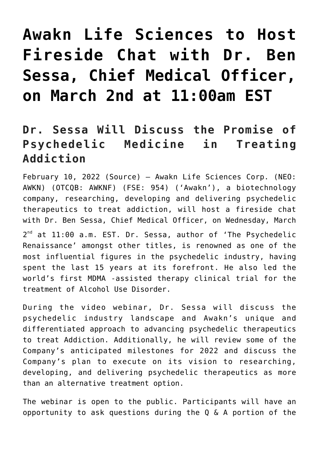## **[Awakn Life Sciences to Host](https://investorintel.com/markets/biotech-healthcare/biotech-news/awakn-life-sciences-to-host-fireside-chat-with-dr-ben-sessa-chief-medical-officer-on-march-2nd-at-1100am-est/) [Fireside Chat with Dr. Ben](https://investorintel.com/markets/biotech-healthcare/biotech-news/awakn-life-sciences-to-host-fireside-chat-with-dr-ben-sessa-chief-medical-officer-on-march-2nd-at-1100am-est/) [Sessa, Chief Medical Officer,](https://investorintel.com/markets/biotech-healthcare/biotech-news/awakn-life-sciences-to-host-fireside-chat-with-dr-ben-sessa-chief-medical-officer-on-march-2nd-at-1100am-est/) [on March 2nd at 11:00am EST](https://investorintel.com/markets/biotech-healthcare/biotech-news/awakn-life-sciences-to-host-fireside-chat-with-dr-ben-sessa-chief-medical-officer-on-march-2nd-at-1100am-est/)**

## **Dr. Sessa Will Discuss the Promise of Psychedelic Medicine in Treating Addiction**

February 10, 2022 ([Source\)](https://www.newsfilecorp.com/release/113359) — Awakn Life Sciences Corp. (NEO: AWKN) (OTCQB: AWKNF) (FSE: 954) ('Awakn'), a biotechnology company, researching, developing and delivering psychedelic therapeutics to treat addiction, will host a fireside chat with Dr. Ben Sessa, Chief Medical Officer, on Wednesday, March

2<sup>nd</sup> at 11:00 a.m. EST. Dr. Sessa, author of 'The Psychedelic Renaissance' amongst other titles, is renowned as one of the most influential figures in the psychedelic industry, having spent the last 15 years at its forefront. He also led the world's first MDMA -assisted therapy clinical trial for the treatment of Alcohol Use Disorder.

During the video webinar, Dr. Sessa will discuss the psychedelic industry landscape and Awakn's unique and differentiated approach to advancing psychedelic therapeutics to treat Addiction. Additionally, he will review some of the Company's anticipated milestones for 2022 and discuss the Company's plan to execute on its vision to researching, developing, and delivering psychedelic therapeutics as more than an alternative treatment option.

The webinar is open to the public. Participants will have an opportunity to ask questions during the Q & A portion of the